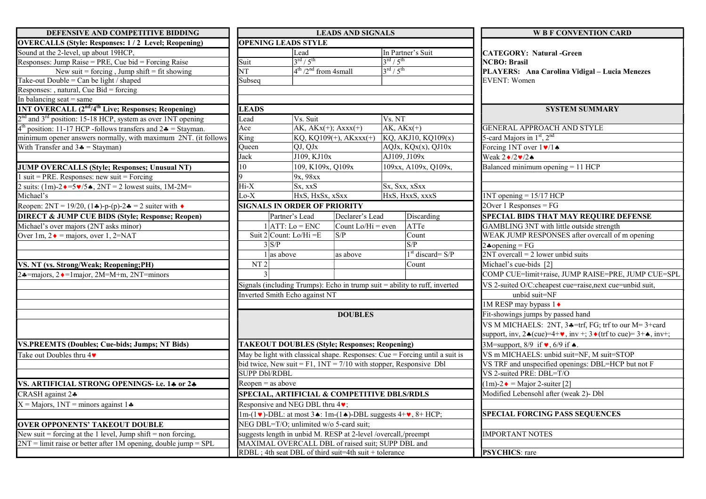| DEFENSIVE AND COMPETITIVE BIDDING                                                     |                                                                                                                                                       |                                                       | <b>LEADS AND SIGNALS</b> |                                                                | <b>W B F CONVENTION CARD</b>                                                                   |  |
|---------------------------------------------------------------------------------------|-------------------------------------------------------------------------------------------------------------------------------------------------------|-------------------------------------------------------|--------------------------|----------------------------------------------------------------|------------------------------------------------------------------------------------------------|--|
| <b>OVERCALLS (Style: Responses: 1/2 Level; Reopening)</b>                             |                                                                                                                                                       | <b>OPENING LEADS STYLE</b>                            |                          |                                                                |                                                                                                |  |
| Sound at the 2-level, up about 19HCP,                                                 |                                                                                                                                                       | Lead                                                  |                          | In Partner's Suit                                              | <b>CATEGORY: Natural -Green</b><br><b>NCBO</b> : Brasil                                        |  |
| Responses: Jump Raise = PRE, Cue bid = Forcing Raise                                  | Suit                                                                                                                                                  | $3^{\text{rd}}$ / $5^{\text{th}}$                     |                          | $3^{\text{rd}}/5^{\text{th}}$                                  |                                                                                                |  |
| New suit = forcing, Jump shift = fit showing                                          | $\overline{\text{NT}}$                                                                                                                                | $4th / 2nd$ from 4small                               |                          | $3^{\text{rd}}/5^{\text{th}}$                                  | PLAYERS: Ana Carolina Vidigal - Lucia Menezes                                                  |  |
| Take-out Double = Can be light $\overline{\ }$ shaped                                 | Subseq                                                                                                                                                |                                                       |                          |                                                                | EVENT: Women                                                                                   |  |
| Responses: , natural, Cue Bid = forcing                                               |                                                                                                                                                       |                                                       |                          |                                                                |                                                                                                |  |
| In balancing seat $=$ same                                                            |                                                                                                                                                       |                                                       |                          |                                                                |                                                                                                |  |
| <b>1NT OVERCALL (2<sup>nd</sup>/4<sup>th</sup> Live; Responses; Reopening)</b>        | <b>LEADS</b>                                                                                                                                          |                                                       |                          |                                                                | <b>SYSTEM SUMMARY</b>                                                                          |  |
| 2 <sup>nd</sup> and 3 <sup>rd</sup> position: 15-18 HCP, system as over 1NT opening   | Lead                                                                                                                                                  | Vs. Suit                                              |                          | Vs. NT                                                         |                                                                                                |  |
| position: 11-17 HCP -follows transfers and $2\clubsuit$ = Stayman.                    | Ace                                                                                                                                                   | $AK, AKx(+); Axxx(+)$                                 |                          | $AK, AKx(+)$                                                   | <b>GENERAL APPROACH AND STYLE</b>                                                              |  |
| minimum opener answers normally, with maximum 2NT. (it follows                        | King                                                                                                                                                  |                                                       | $KQ, KQ109(+), AKxxx(+)$ | $KQ$ , AKJ10, $KQ109(x)$                                       | 5-card Majors in $1st$ , $2nd$                                                                 |  |
| With Transfer and $3\clubsuit$ = Stayman)                                             | QJ, QJx<br>Oueen                                                                                                                                      |                                                       |                          | AQJx, KQx(x), QJ10x                                            | Forcing 1NT over $1\blacktriangleright 1\blacktriangleright$                                   |  |
|                                                                                       | Jack                                                                                                                                                  | J109, KJ10x                                           |                          | AJ109, J109x                                                   | Weak $2\cdot/2\cdot/2\cdot$                                                                    |  |
| <b>JUMP OVERCALLS (Style; Responses; Unusual NT)</b>                                  | 10                                                                                                                                                    | 109, K109x, Q109x                                     |                          | 109xx, A109x, Q109x,                                           | Balanced minimum opening $= 11$ HCP                                                            |  |
| suit = PRE. Responses: new suit = $\overline{F}$ orcing                               |                                                                                                                                                       | 9x, 98xx                                              |                          |                                                                |                                                                                                |  |
| 2 suits: $(1m)$ -2 $\bullet$ =5 $\bullet$ /5 $\bullet$ , 2NT = 2 lowest suits, 1M-2M= | Hi-X                                                                                                                                                  | Sx, xxS                                               |                          | Sx, Sxx, xSxx                                                  |                                                                                                |  |
| Michael's                                                                             | $Lo-X$                                                                                                                                                | HxS, HxSx, xSxx                                       |                          | HxS, HxxS, xxxS                                                | $1NT$ opening = $15/17$ HCP                                                                    |  |
| Reopen: 2NT = 19/20, (14)-p-(p)-24 = 2 suiter with $\bullet$                          |                                                                                                                                                       | <b>SIGNALS IN ORDER OF PRIORITY</b>                   |                          |                                                                | 20ver 1 Responses = $FG$                                                                       |  |
| <b>DIRECT &amp; JUMP CUE BIDS (Style; Response; Reopen)</b>                           |                                                                                                                                                       | Partner's Lead                                        | Declarer's Lead          | <b>Discarding</b>                                              | <b>SPECIAL BIDS THAT MAY REQUIRE DEFENSE</b>                                                   |  |
| Michael's over majors (2NT asks minor)                                                |                                                                                                                                                       | $1$ ATT: Lo = ENC                                     | Count Lo/Hi = even       | ATTe                                                           | GAMBLING 3NT with little outside strength                                                      |  |
| Over 1m, $2 \cdot =$ majors, over 1, 2=NAT                                            | Suit $2$ Count: Lo/Hi = E                                                                                                                             |                                                       | S/P                      | Count                                                          | WEAK JUMP RESPONSES after overcall of m opening                                                |  |
|                                                                                       | $3 \overline{\text{S/P}}$                                                                                                                             |                                                       |                          | $\overline{S/P}$                                               | $2*oppening = FG$                                                                              |  |
|                                                                                       |                                                                                                                                                       | $1$ as above                                          | as above                 | $1st$ discard= S/P                                             | $2NT$ overcall = 2 lower unbid suits                                                           |  |
| VS. NT (vs. Strong/Weak; Reopening;PH)                                                | NT2                                                                                                                                                   |                                                       |                          | Count                                                          | Michael's cue-bids [2]                                                                         |  |
| $2\triangle =$ majors, $2\triangle = 1$ major, $2M=M+m$ , $2NT =$ minors              | $\vert$ 3                                                                                                                                             |                                                       |                          |                                                                | COMP CUE=limit+raise, JUMP RAISE=PRE, JUMP CUE=SPL                                             |  |
|                                                                                       | Signals (including Trumps): Echo in trump suit = ability to ruff, inverted                                                                            |                                                       |                          |                                                                | VS 2-suited O/C:cheapest cue=raise, next cue=unbid suit,                                       |  |
|                                                                                       |                                                                                                                                                       | Inverted Smith Echo against NT                        |                          |                                                                | unbid suit=NF                                                                                  |  |
|                                                                                       |                                                                                                                                                       |                                                       |                          |                                                                | 1M RESP may bypass 1                                                                           |  |
|                                                                                       |                                                                                                                                                       |                                                       | <b>DOUBLES</b>           |                                                                | Fit-showings jumps by passed hand                                                              |  |
|                                                                                       |                                                                                                                                                       |                                                       |                          |                                                                | VS M MICHAELS: 2NT, $3 \div = \text{trf}$ , FG; trf to our M= 3+card                           |  |
|                                                                                       |                                                                                                                                                       |                                                       |                          |                                                                | support, inv, $2\triangle (cue)=4+\vee$ , inv +; $3\triangle (trf to cue)=3+\triangle , inv+;$ |  |
| <b>VS.PREEMTS (Doubles; Cue-bids; Jumps; NT Bids)</b>                                 |                                                                                                                                                       | <b>TAKEOUT DOUBLES (Style; Responses; Reopening)</b>  |                          |                                                                | 3M=support, 8/9 if v, 6/9 if $\bullet$ .                                                       |  |
| Take out Doubles thru $4\blacktriangleright$                                          | May be light with classical shape. Responses: Cue = Forcing until a suit is<br>bid twice, New suit = $F1$ , $1NT = 7/10$ with stopper, Responsive Dbl |                                                       |                          |                                                                | VS m MICHAELS: unbid suit=NF, M suit=STOP                                                      |  |
|                                                                                       |                                                                                                                                                       |                                                       |                          |                                                                | VS TRF and unspecified openings: DBL=HCP but not F                                             |  |
|                                                                                       | <b>SUPP Dbl/RDBL</b>                                                                                                                                  |                                                       |                          |                                                                | VS 2-suited PRE: DBL=T/O                                                                       |  |
| VS. ARTIFICIAL STRONG OPENINGS- i.e. 14 or 24                                         | $Reopen = as above$                                                                                                                                   |                                                       |                          |                                                                | $(1m)-2$ $\bullet$ = Major 2-suiter [2]                                                        |  |
| CRASH against 2.                                                                      |                                                                                                                                                       |                                                       |                          | SPECIAL, ARTIFICIAL & COMPETITIVE DBLS/RDLS                    | Modified Lebensohl after (weak 2)- Dbl                                                         |  |
| $X =$ Majors, 1NT = minors against 1 $\clubsuit$                                      |                                                                                                                                                       | Responsive and NEG DBL thru 4v;                       |                          |                                                                |                                                                                                |  |
|                                                                                       | $1m-(1\vee)$ -DBL: at most 3. 1m- $(1\wedge)$ -DBL suggests 4+ $\vee$ , 8+ HCP;                                                                       |                                                       |                          | <b>SPECIAL FORCING PASS SEQUENCES</b>                          |                                                                                                |  |
| <b>OVER OPPONENTS' TAKEOUT DOUBLE</b>                                                 |                                                                                                                                                       | NEG DBL=T/O; unlimited w/o 5-card suit;               |                          |                                                                |                                                                                                |  |
| New suit = forcing at the 1 level, Jump shift = non forcing,                          |                                                                                                                                                       |                                                       |                          | suggests length in unbid M. RESP at 2-level /overcall,/preempt | <b>IMPORTANT NOTES</b>                                                                         |  |
| $2NT =$ limit raise or better after 1M opening, double jump = SPL                     |                                                                                                                                                       | MAXIMAL OVERCALL DBL of raised suit; SUPP DBL and     |                          |                                                                |                                                                                                |  |
|                                                                                       |                                                                                                                                                       | RDBL; 4th seat DBL of third suit=4th suit + tolerance |                          |                                                                | <b>PSYCHICS: rare</b>                                                                          |  |